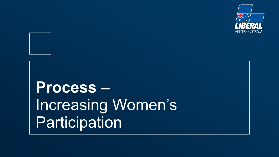



# **Process –** Increasing Women's **Participation**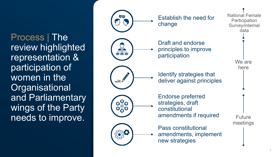Process | The review highlighted representation & participation of women in the **Organisational** and Parliamentary wings of the Party needs to improve.

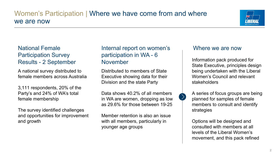## Women's Participation | Where we have come from and where we are now



### National Female Participation Survey Results - 2 September

A national survey distributed to female members across Australia

3,111 respondents, 20% of the Party's and 24% of WA's total female membership

The survey identified challenges and opportunities for improvement and growth

### Internal report on women's participation in WA - 6 November

Distributed to members of State Executive showing data for their Division and the state Party

Data shows 40.2% of all members in WA are women, dropping as low as 29.6% for those between 19-25

Member retention is also an issue with all members, particularly in younger age groups

#### Where we are now

Information pack produced for State Executive, principles design being undertaken with the Liberal Women's Council and relevant stakeholders

A series of focus groups are being planned for samples of female members to consult and identify strategies

Options will be designed and consulted with members at all levels of the Liberal Women's movement, and this pack refined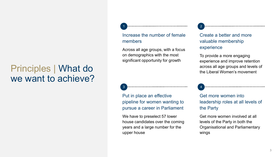## Principles | What do we want to achieve?

#### Increase the number of female members

1 <del>Junior Communication (</del> 2

Across all age groups, with a focus on demographics with the most significant opportunity for growth

### 3 4

Put in place an effective pipeline for women wanting to pursue a career in Parliament

We have to preselect 57 lower house candidates over the coming years and a large number for the upper house

#### Create a better and more valuable membership experience

To provide a more engaging experience and improve retention across all age groups and levels of the Liberal Women's movement

Get more women into leadership roles at all levels of the Party

Get more women involved at all levels of the Party in both the Organisational and Parliamentary wings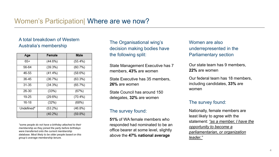## A total breakdown of Western

| Age        | Female     | <b>Male</b> |
|------------|------------|-------------|
| $65+$      | (44.6%)    | $(55.4\%)$  |
| 56-64      | (39.3%)    | (60.7%)     |
| 46-55      | (41.4%)    | (58.6%)     |
| 36-45      | (36.7%)    | (63.3%)     |
| 31-35      | (34.3%)    | (65.7%)     |
| 26-30      | (33%)      | (67%)       |
| 19-25      | (29.6%)    | $(70.4\%)$  |
| 16-18      | (32%)      | (68%)       |
| Undefined* | $(53.2\%)$ | (46.8%)     |
|            | $(40.2\%)$ | $(59.8\%)$  |

*\*some people do not have a birthday attached to their membership as they joined the party before birthdays were transferred onto the current membership database. Most likely to be older people based on this group's average membership tenure.*

Australia's membership and the Organisational wing's Women are also<br>Australia's membership decision making bedies have underrepresented decision making bodies have the following split:

> State Management Executive has 7 members, **43%** are women

State Executive has 35 members, **26%** are women

State Council has around 150 delegates, **32%** are women

#### The survey found:

**51%** of WA female members who responded had nominated to be an office bearer at some level, slightly above the **47% national average**

underrepresented in the Parliamentary section

Our state team has 9 members, **22%** are women

Our federal team has 18 members, including candidates, **33%** are women

#### The survey found:

Nationally, female members are least likely to agree with the statement: *"as a member, I have the opportunity to become a parliamentarian, or organization leader."*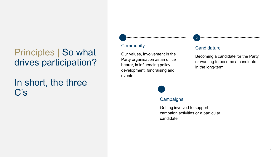## Principles | So what drives participation?

## In short, the three  $C's$

#### **Community**

Our values, involvement in the Party organisation as an office bearer, in influencing policy development, fundraising and events

1 2

#### **Candidature**

Becoming a candidate for the Party, or wanting to become a candidate in the long-term

3

#### **Campaigns**

Getting involved to support campaign activities or a particular candidate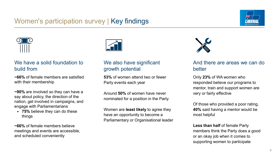## Women's participation survey | Key findings





#### We have a solid foundation to build from

**~66%** of female members are satisfied with their membership

**~90%** are involved so they can have a say about policy, the direction of the nation, get involved in campaigns, and engage with Parliamentarians

• **75%** believe they can do these things

**~66%** of female members believe meetings and events are accessible, and scheduled conveniently



#### We also have significant growth potential

**53%** of women attend two or fewer Party events each year

Around **50%** of women have never nominated for a position in the Party

Women are **least likely** to agree they have an opportunity to become a Parliamentary or Organisational leader



#### And there are areas we can do better

Only **23%** of WA women who responded believe our programs to mentor, train and support women are very or fairly effective

Of those who provided a poor rating, **40%** said having a mentor would be most helpful

**Less than half of female Party** members think the Party does a good or an okay job when it comes to supporting women to participate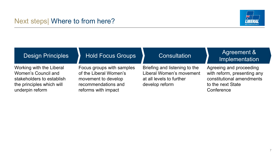

| <b>Design Principles</b>                                                                                                     | <b>Hold Focus Groups</b>                                                                                                 | Consultation                                                                                            | Agreement &<br>Implementation                                                                                          |
|------------------------------------------------------------------------------------------------------------------------------|--------------------------------------------------------------------------------------------------------------------------|---------------------------------------------------------------------------------------------------------|------------------------------------------------------------------------------------------------------------------------|
| Working with the Liberal<br>Women's Council and<br>stakeholders to establish<br>the principles which will<br>underpin reform | Focus groups with samples<br>of the Liberal Women's<br>movement to develop<br>recommendations and<br>reforms with impact | Briefing and listening to the<br>Liberal Women's movement<br>at all levels to further<br>develop reform | Agreeing and proceeding<br>with reform, presenting any<br>constitutional amendments<br>to the next State<br>Conference |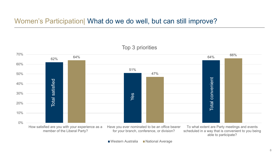## Women's Participation| What do we do well, but can still improve?



#### Top 3 priorities

member of the Liberal Party?

for your branch, conference, or division?

scheduled in a way that is convenient to you being able to participate?

■ Western Australia ■ National Average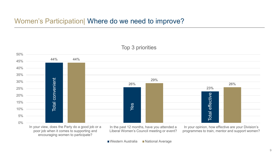## Women's Participation| Where do we need to improve?



Top 3 priorities

In your view, does the Party do a good job or a poor job when it comes to supporting and encouraging women to participate?

In the past 12 months, have you attended a Liberal Women's Council meeting or event?

In your opinion, how effective are your Division's programmes to train, mentor and support women?

■Western Australia ■National Average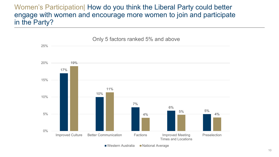Women's Participation| How do you think the Liberal Party could better engage with women and encourage more women to join and participate in the Party?

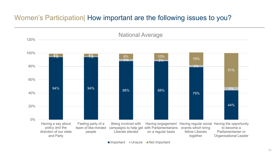## Women's Participation| How important are the following issues to you?